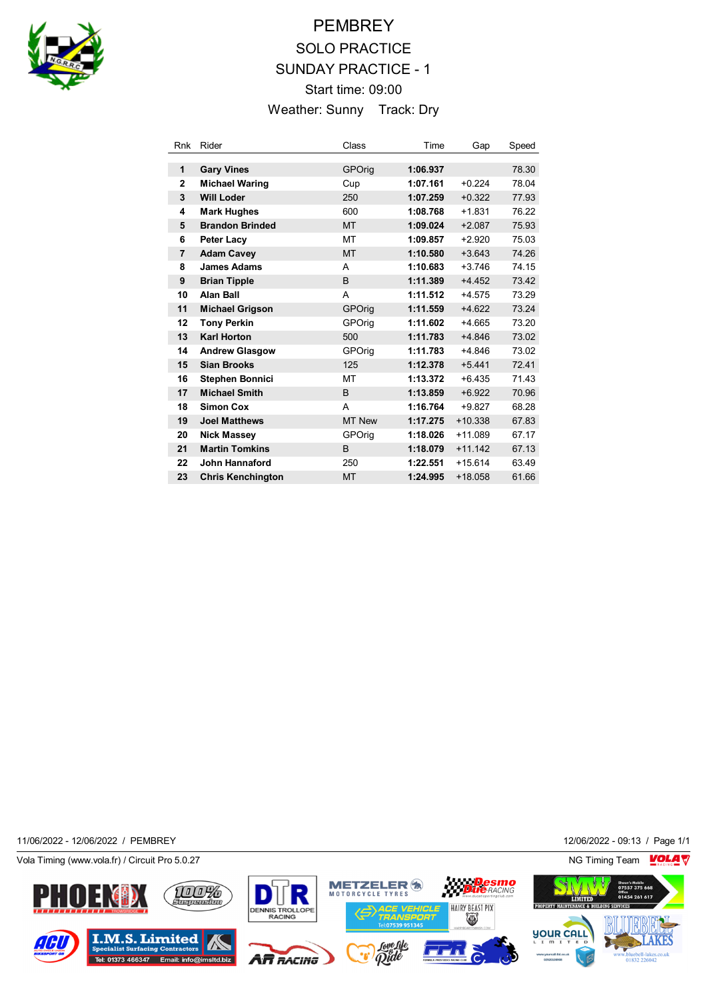

## **PEMBREY** SOLO PRACTICE SUNDAY PRACTICE - 1 Start time: 09:00 Weather: Sunny Track: Dry

| Rnk            | Rider                    | Class         | Time     | Gap       | Speed |
|----------------|--------------------------|---------------|----------|-----------|-------|
|                |                          |               |          |           |       |
| 1              | <b>Gary Vines</b>        | <b>GPOrig</b> | 1:06.937 |           | 78.30 |
| 2              | <b>Michael Waring</b>    | Cup           | 1:07.161 | $+0.224$  | 78.04 |
| 3              | <b>Will Loder</b>        | 250           | 1:07.259 | $+0.322$  | 77.93 |
| 4              | <b>Mark Hughes</b>       | 600           | 1:08.768 | $+1.831$  | 76.22 |
| 5              | <b>Brandon Brinded</b>   | <b>MT</b>     | 1:09.024 | $+2.087$  | 75.93 |
| 6              | Peter Lacy               | МT            | 1:09.857 | $+2.920$  | 75.03 |
| $\overline{7}$ | <b>Adam Cavey</b>        | <b>MT</b>     | 1:10.580 | $+3.643$  | 74.26 |
| 8              | <b>James Adams</b>       | A             | 1:10.683 | $+3.746$  | 74.15 |
| 9              | <b>Brian Tipple</b>      | B             | 1:11.389 | $+4.452$  | 73.42 |
| 10             | <b>Alan Ball</b>         | A             | 1:11.512 | $+4.575$  | 73.29 |
| 11             | <b>Michael Grigson</b>   | <b>GPOrig</b> | 1:11.559 | $+4.622$  | 73.24 |
| 12             | <b>Tony Perkin</b>       | GPOrig        | 1:11.602 | $+4.665$  | 73.20 |
| 13             | <b>Karl Horton</b>       | 500           | 1:11.783 | $+4.846$  | 73.02 |
| 14             | <b>Andrew Glasgow</b>    | GPOrig        | 1:11.783 | $+4.846$  | 73.02 |
| 15             | <b>Sian Brooks</b>       | 125           | 1:12.378 | $+5.441$  | 72.41 |
| 16             | <b>Stephen Bonnici</b>   | МT            | 1:13.372 | $+6.435$  | 71.43 |
| 17             | <b>Michael Smith</b>     | B             | 1:13.859 | $+6.922$  | 70.96 |
| 18             | <b>Simon Cox</b>         | A             | 1:16.764 | $+9.827$  | 68.28 |
| 19             | <b>Joel Matthews</b>     | <b>MT New</b> | 1:17.275 | $+10.338$ | 67.83 |
| 20             | <b>Nick Massey</b>       | GPOrig        | 1:18.026 | $+11.089$ | 67.17 |
| 21             | <b>Martin Tomkins</b>    | B             | 1:18.079 | $+11.142$ | 67.13 |
| 22             | John Hannaford           | 250           | 1:22.551 | $+15.614$ | 63.49 |
| 23             | <b>Chris Kenchington</b> | <b>MT</b>     | 1:24.995 | $+18.058$ | 61.66 |

11/06/2022 - 12/06/2022 / PEMBREY 12/06/2022 - 09:13 / Page 1/1

Vola Timing (www.vola.fr) / Circuit Pro 5.0.27 NG Timing Team NG Timing Team NG Timing Team NG Timing Team NG